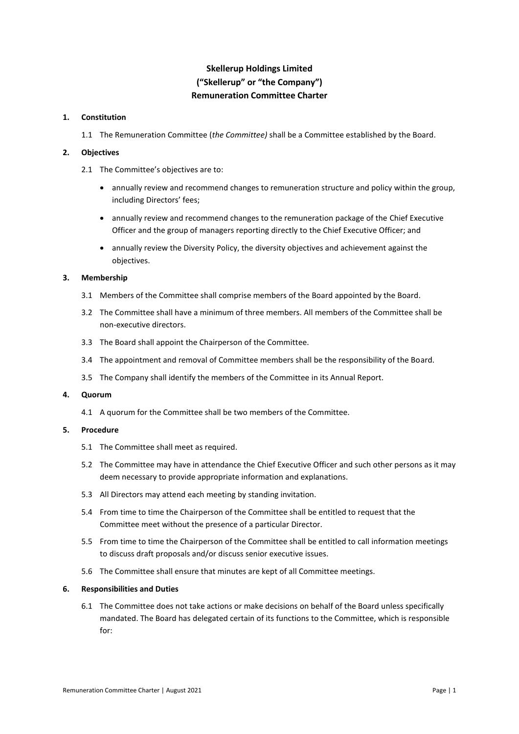# **Skellerup Holdings Limited ("Skellerup" or "the Company") Remuneration Committee Charter**

## **1. Constitution**

1.1 The Remuneration Committee (*the Committee)* shall be a Committee established by the Board.

#### **2. Objectives**

- 2.1 The Committee's objectives are to:
	- annually review and recommend changes to remuneration structure and policy within the group, including Directors' fees;
	- annually review and recommend changes to the remuneration package of the Chief Executive Officer and the group of managers reporting directly to the Chief Executive Officer; and
	- annually review the Diversity Policy, the diversity objectives and achievement against the objectives.

### **3. Membership**

- 3.1 Members of the Committee shall comprise members of the Board appointed by the Board.
- 3.2 The Committee shall have a minimum of three members. All members of the Committee shall be non-executive directors.
- 3.3 The Board shall appoint the Chairperson of the Committee.
- 3.4 The appointment and removal of Committee members shall be the responsibility of the Board.
- 3.5 The Company shall identify the members of the Committee in its Annual Report.

### **4. Quorum**

4.1 A quorum for the Committee shall be two members of the Committee.

#### **5. Procedure**

- 5.1 The Committee shall meet as required.
- 5.2 The Committee may have in attendance the Chief Executive Officer and such other persons as it may deem necessary to provide appropriate information and explanations.
- 5.3 All Directors may attend each meeting by standing invitation.
- 5.4 From time to time the Chairperson of the Committee shall be entitled to request that the Committee meet without the presence of a particular Director.
- 5.5 From time to time the Chairperson of the Committee shall be entitled to call information meetings to discuss draft proposals and/or discuss senior executive issues.
- 5.6 The Committee shall ensure that minutes are kept of all Committee meetings.

#### **6. Responsibilities and Duties**

6.1 The Committee does not take actions or make decisions on behalf of the Board unless specifically mandated. The Board has delegated certain of its functions to the Committee, which is responsible for: